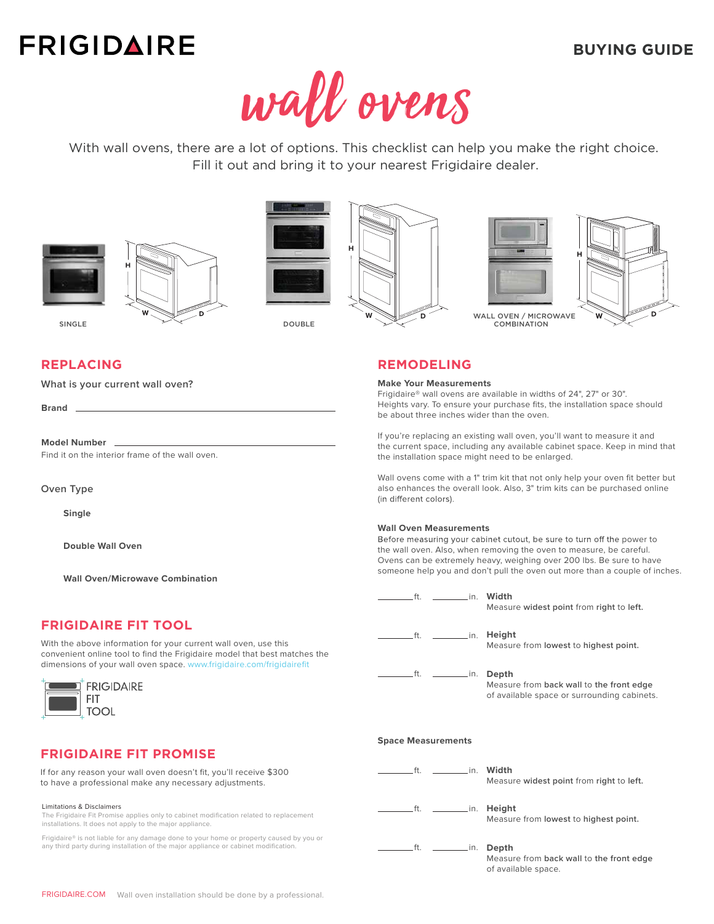# **FRIGIDAIRE**



With wall ovens, there are a lot of options. This checklist can help you make the right choice. Fill it out and bring it to your nearest Frigidaire dealer.

7







## **REPLACING**

**What is your current wall oven?**

**Brand**

**Model Number**

Find it on the interior frame of the wall oven.

**Oven Type**

**Single**

**Double Wall Oven**

**Wall Oven/Microwave Combination**

## **FRIGIDAIRE FIT TOOL**

With the above information for your current wall oven, use this convenient online tool to find the Frigidaire model that best matches the dimensions of your wall oven space. [www.frigidaire.com/frigidairefit](http://frigidaire.com/frigidairefit)



## **FRIGIDAIRE FIT PROMISE**

If for any reason your wall oven doesn't fit, you'll receive \$300 to have a professional make any necessary adjustments.

#### Limitations & Disclaimers

The Frigidaire Fit Promise applies only to cabinet modification related to replacement installations. It does not apply to the major appliance.

Frigidaire® is not liable for any damage done to your home or property caused by you or any third party during installation of the major appliance or cabinet modification.

| H |   |         |   |  |
|---|---|---------|---|--|
|   |   |         |   |  |
|   |   |         |   |  |
|   | W | a.<br>a | D |  |





## **REMODELING**

#### **Make Your Measurements**

Frigidaire® wall ovens are available in widths of 24", 27" or 30". Heights vary. To ensure your purchase fits, the installation space should be about three inches wider than the oven.

If you're replacing an existing wall oven, you'll want to measure it and the current space, including any available cabinet space. Keep in mind that the installation space might need to be enlarged.

Wall ovens come with a 1" trim kit that not only help your oven fit better but also enhances the overall look. Also, 3" trim kits can be purchased online (in different colors).

#### **Wall Oven Measurements**

Before measuring your cabinet cutout, be sure to turn off the power to the wall oven. Also, when removing the oven to measure, be careful. Ovens can be extremely heavy, weighing over 200 lbs. Be sure to have someone help you and don't pull the oven out more than a couple of inches.

| <u>______________in.</u> Width<br>ft.                    | Measure widest point from right to left.                                                         |  |  |  |
|----------------------------------------------------------|--------------------------------------------------------------------------------------------------|--|--|--|
|                                                          | Height<br>Measure from lowest to highest point.                                                  |  |  |  |
|                                                          | Depth<br>Measure from back wall to the front edge<br>of available space or surrounding cabinets. |  |  |  |
| <b>Space Measurements</b>                                |                                                                                                  |  |  |  |
| ____________in. Width<br>ft.                             | Measure widest point from right to left.                                                         |  |  |  |
| .ft.<br>$\sim$ $\sim$ $\sim$ $\sim$ $\sim$ $\sim$ $\sim$ | Height<br>Measure from lowest to highest point.                                                  |  |  |  |
| .ft.<br>$\frac{1}{\sqrt{1-\frac{1}{2}}}\sin \frac{1}{2}$ | Depth<br>Measure from back wall to the front edge<br>of available space.                         |  |  |  |

## **BUYING GUIDE**